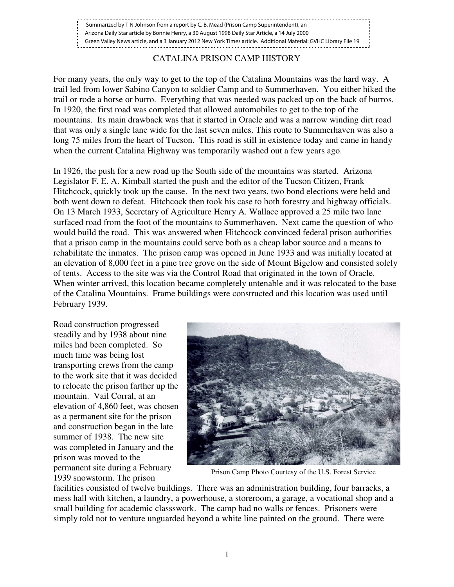## CATALINA PRISON CAMP HISTORY

For many years, the only way to get to the top of the Catalina Mountains was the hard way. A trail led from lower Sabino Canyon to soldier Camp and to Summerhaven. You either hiked the trail or rode a horse or burro. Everything that was needed was packed up on the back of burros. In 1920, the first road was completed that allowed automobiles to get to the top of the mountains. Its main drawback was that it started in Oracle and was a narrow winding dirt road that was only a single lane wide for the last seven miles. This route to Summerhaven was also a long 75 miles from the heart of Tucson. This road is still in existence today and came in handy when the current Catalina Highway was temporarily washed out a few years ago.

In 1926, the push for a new road up the South side of the mountains was started. Arizona Legislator F. E. A. Kimball started the push and the editor of the Tucson Citizen, Frank Hitchcock, quickly took up the cause. In the next two years, two bond elections were held and both went down to defeat. Hitchcock then took his case to both forestry and highway officials. On 13 March 1933, Secretary of Agriculture Henry A. Wallace approved a 25 mile two lane surfaced road from the foot of the mountains to Summerhaven. Next came the question of who would build the road. This was answered when Hitchcock convinced federal prison authorities that a prison camp in the mountains could serve both as a cheap labor source and a means to rehabilitate the inmates. The prison camp was opened in June 1933 and was initially located at an elevation of 8,000 feet in a pine tree grove on the side of Mount Bigelow and consisted solely of tents. Access to the site was via the Control Road that originated in the town of Oracle. When winter arrived, this location became completely untenable and it was relocated to the base of the Catalina Mountains. Frame buildings were constructed and this location was used until February 1939.

Road construction progressed steadily and by 1938 about nine miles had been completed. So much time was being lost transporting crews from the camp to the work site that it was decided to relocate the prison farther up the mountain. Vail Corral, at an elevation of 4,860 feet, was chosen as a permanent site for the prison and construction began in the late summer of 1938. The new site was completed in January and the prison was moved to the permanent site during a February 1939 snowstorm. The prison



Prison Camp Photo Courtesy of the U.S. Forest Service

facilities consisted of twelve buildings. There was an administration building, four barracks, a mess hall with kitchen, a laundry, a powerhouse, a storeroom, a garage, a vocational shop and a small building for academic classswork. The camp had no walls or fences. Prisoners were simply told not to venture unguarded beyond a white line painted on the ground. There were